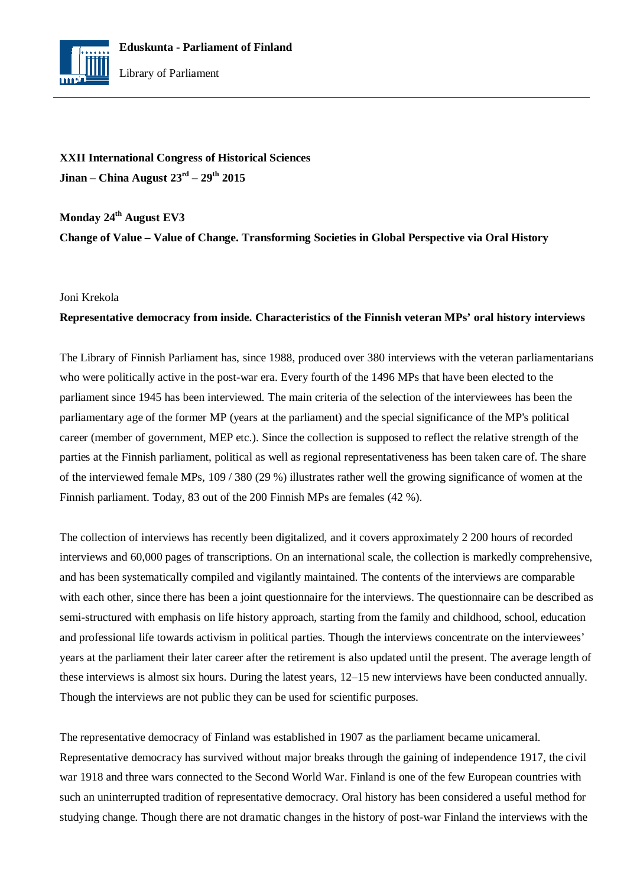

**XXII International Congress of Historical Sciences Jinan – China August 23rd – 29th 2015**

**Monday 24th August EV3**

**Change of Value – Value of Change. Transforming Societies in Global Perspective via Oral History**

## Joni Krekola

## **Representative democracy from inside. Characteristics of the Finnish veteran MPs' oral history interviews**

The Library of Finnish Parliament has, since 1988, produced over 380 interviews with the veteran parliamentarians who were politically active in the post-war era. Every fourth of the 1496 MPs that have been elected to the parliament since 1945 has been interviewed. The main criteria of the selection of the interviewees has been the parliamentary age of the former MP (years at the parliament) and the special significance of the MP's political career (member of government, MEP etc.). Since the collection is supposed to reflect the relative strength of the parties at the Finnish parliament, political as well as regional representativeness has been taken care of. The share of the interviewed female MPs, 109 / 380 (29 %) illustrates rather well the growing significance of women at the Finnish parliament. Today, 83 out of the 200 Finnish MPs are females (42 %).

The collection of interviews has recently been digitalized, and it covers approximately 2 200 hours of recorded interviews and 60,000 pages of transcriptions. On an international scale, the collection is markedly comprehensive, and has been systematically compiled and vigilantly maintained. The contents of the interviews are comparable with each other, since there has been a joint questionnaire for the interviews. The questionnaire can be described as semi-structured with emphasis on life history approach, starting from the family and childhood, school, education and professional life towards activism in political parties. Though the interviews concentrate on the interviewees' years at the parliament their later career after the retirement is also updated until the present. The average length of these interviews is almost six hours. During the latest years, 12–15 new interviews have been conducted annually. Though the interviews are not public they can be used for scientific purposes.

The representative democracy of Finland was established in 1907 as the parliament became unicameral. Representative democracy has survived without major breaks through the gaining of independence 1917, the civil war 1918 and three wars connected to the Second World War. Finland is one of the few European countries with such an uninterrupted tradition of representative democracy. Oral history has been considered a useful method for studying change. Though there are not dramatic changes in the history of post-war Finland the interviews with the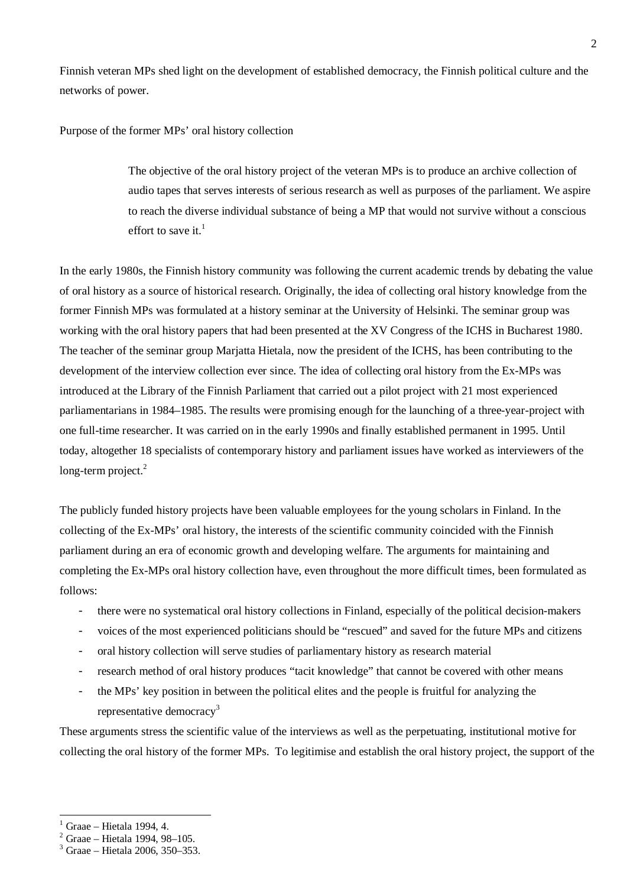Finnish veteran MPs shed light on the development of established democracy, the Finnish political culture and the networks of power.

Purpose of the former MPs' oral history collection

The objective of the oral history project of the veteran MPs is to produce an archive collection of audio tapes that serves interests of serious research as well as purposes of the parliament. We aspire to reach the diverse individual substance of being a MP that would not survive without a conscious effort to save it. $<sup>1</sup>$ </sup>

In the early 1980s, the Finnish history community was following the current academic trends by debating the value of oral history as a source of historical research. Originally, the idea of collecting oral history knowledge from the former Finnish MPs was formulated at a history seminar at the University of Helsinki. The seminar group was working with the oral history papers that had been presented at the XV Congress of the ICHS in Bucharest 1980. The teacher of the seminar group Marjatta Hietala, now the president of the ICHS, has been contributing to the development of the interview collection ever since. The idea of collecting oral history from the Ex-MPs was introduced at the Library of the Finnish Parliament that carried out a pilot project with 21 most experienced parliamentarians in 1984–1985. The results were promising enough for the launching of a three-year-project with one full-time researcher. It was carried on in the early 1990s and finally established permanent in 1995. Until today, altogether 18 specialists of contemporary history and parliament issues have worked as interviewers of the long-term project. $2$ 

The publicly funded history projects have been valuable employees for the young scholars in Finland. In the collecting of the Ex-MPs' oral history, the interests of the scientific community coincided with the Finnish parliament during an era of economic growth and developing welfare. The arguments for maintaining and completing the Ex-MPs oral history collection have, even throughout the more difficult times, been formulated as follows:

- there were no systematical oral history collections in Finland, especially of the political decision-makers
- voices of the most experienced politicians should be "rescued" and saved for the future MPs and citizens
- oral history collection will serve studies of parliamentary history as research material
- research method of oral history produces "tacit knowledge" that cannot be covered with other means
- the MPs' key position in between the political elites and the people is fruitful for analyzing the representative democracy<sup>3</sup>

These arguments stress the scientific value of the interviews as well as the perpetuating, institutional motive for collecting the oral history of the former MPs. To legitimise and establish the oral history project, the support of the

<sup>1</sup> Graae – Hietala 1994, 4.

 $2$  Graae – Hietala 1994, 98–105.

<sup>3</sup> Graae – Hietala 2006, 350–353.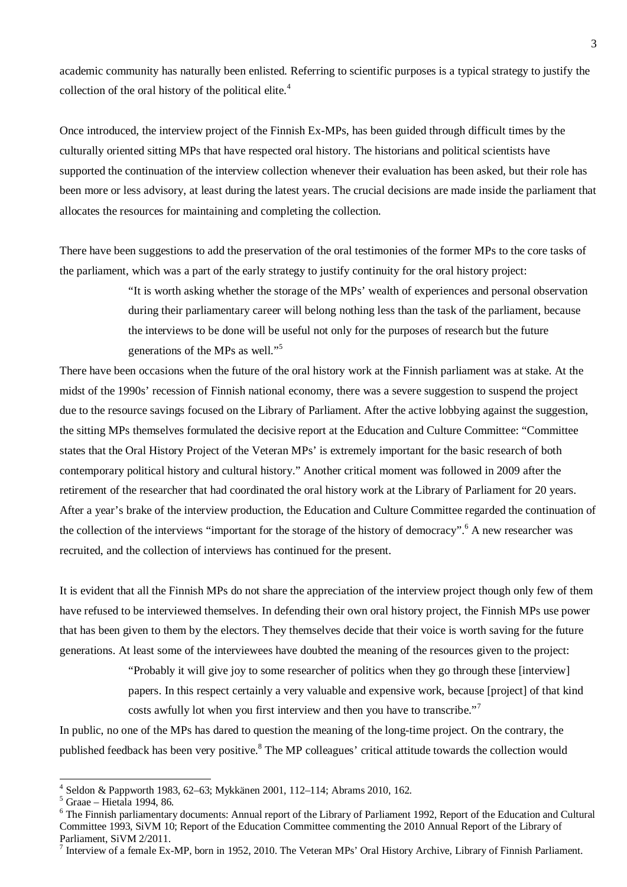academic community has naturally been enlisted. Referring to scientific purposes is a typical strategy to justify the collection of the oral history of the political elite.<sup>4</sup>

Once introduced, the interview project of the Finnish Ex-MPs, has been guided through difficult times by the culturally oriented sitting MPs that have respected oral history. The historians and political scientists have supported the continuation of the interview collection whenever their evaluation has been asked, but their role has been more or less advisory, at least during the latest years. The crucial decisions are made inside the parliament that allocates the resources for maintaining and completing the collection.

There have been suggestions to add the preservation of the oral testimonies of the former MPs to the core tasks of the parliament, which was a part of the early strategy to justify continuity for the oral history project:

> "It is worth asking whether the storage of the MPs' wealth of experiences and personal observation during their parliamentary career will belong nothing less than the task of the parliament, because the interviews to be done will be useful not only for the purposes of research but the future generations of the MPs as well."<sup>5</sup>

There have been occasions when the future of the oral history work at the Finnish parliament was at stake. At the midst of the 1990s' recession of Finnish national economy, there was a severe suggestion to suspend the project due to the resource savings focused on the Library of Parliament. After the active lobbying against the suggestion, the sitting MPs themselves formulated the decisive report at the Education and Culture Committee: "Committee states that the Oral History Project of the Veteran MPs' is extremely important for the basic research of both contemporary political history and cultural history." Another critical moment was followed in 2009 after the retirement of the researcher that had coordinated the oral history work at the Library of Parliament for 20 years. After a year's brake of the interview production, the Education and Culture Committee regarded the continuation of the collection of the interviews "important for the storage of the history of democracy". <sup>6</sup> A new researcher was recruited, and the collection of interviews has continued for the present.

It is evident that all the Finnish MPs do not share the appreciation of the interview project though only few of them have refused to be interviewed themselves. In defending their own oral history project, the Finnish MPs use power that has been given to them by the electors. They themselves decide that their voice is worth saving for the future generations. At least some of the interviewees have doubted the meaning of the resources given to the project:

> "Probably it will give joy to some researcher of politics when they go through these [interview] papers. In this respect certainly a very valuable and expensive work, because [project] of that kind costs awfully lot when you first interview and then you have to transcribe."<sup>7</sup>

In public, no one of the MPs has dared to question the meaning of the long-time project. On the contrary, the published feedback has been very positive.<sup>8</sup> The MP colleagues' critical attitude towards the collection would

<sup>4</sup> Seldon & Pappworth 1983, 62–63; Mykkänen 2001, 112–114; Abrams 2010, 162.

<sup>5</sup> Graae – Hietala 1994, 86.

<sup>&</sup>lt;sup>6</sup> The Finnish parliamentary documents: Annual report of the Library of Parliament 1992, Report of the Education and Cultural Committee 1993, SiVM 10; Report of the Education Committee commenting the 2010 Annual Report of the Library of Parliament, SiVM 2/2011.

 $<sup>7</sup>$  Interview of a female Ex-MP, born in 1952, 2010. The Veteran MPs' Oral History Archive, Library of Finnish Parliament.</sup>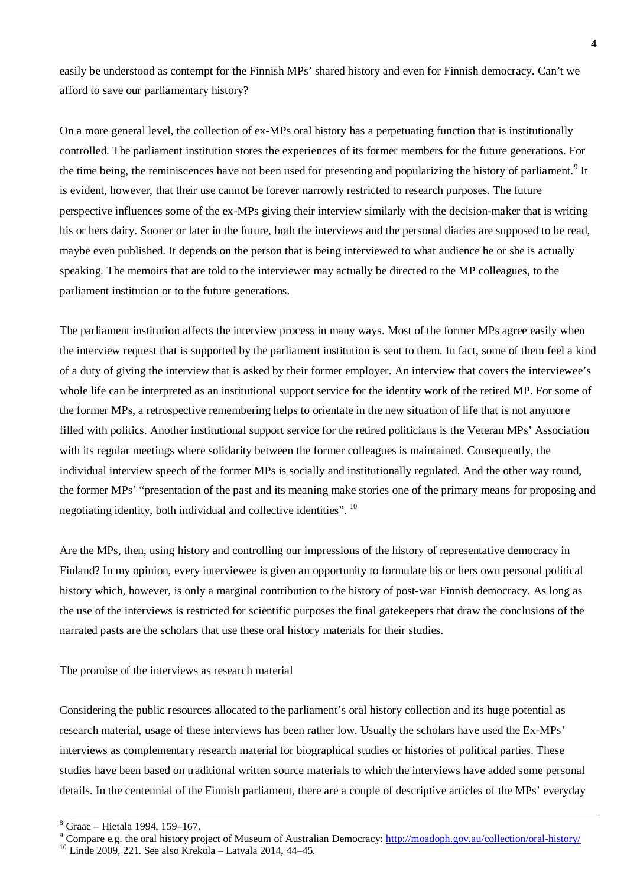easily be understood as contempt for the Finnish MPs' shared history and even for Finnish democracy. Can't we afford to save our parliamentary history?

On a more general level, the collection of ex-MPs oral history has a perpetuating function that is institutionally controlled. The parliament institution stores the experiences of its former members for the future generations. For the time being, the reminiscences have not been used for presenting and popularizing the history of parliament.<sup>9</sup> It is evident, however, that their use cannot be forever narrowly restricted to research purposes. The future perspective influences some of the ex-MPs giving their interview similarly with the decision-maker that is writing his or hers dairy. Sooner or later in the future, both the interviews and the personal diaries are supposed to be read, maybe even published. It depends on the person that is being interviewed to what audience he or she is actually speaking. The memoirs that are told to the interviewer may actually be directed to the MP colleagues, to the parliament institution or to the future generations.

The parliament institution affects the interview process in many ways. Most of the former MPs agree easily when the interview request that is supported by the parliament institution is sent to them. In fact, some of them feel a kind of a duty of giving the interview that is asked by their former employer. An interview that covers the interviewee's whole life can be interpreted as an institutional support service for the identity work of the retired MP. For some of the former MPs, a retrospective remembering helps to orientate in the new situation of life that is not anymore filled with politics. Another institutional support service for the retired politicians is the Veteran MPs' Association with its regular meetings where solidarity between the former colleagues is maintained. Consequently, the individual interview speech of the former MPs is socially and institutionally regulated. And the other way round, the former MPs' "presentation of the past and its meaning make stories one of the primary means for proposing and negotiating identity, both individual and collective identities". <sup>10</sup>

Are the MPs, then, using history and controlling our impressions of the history of representative democracy in Finland? In my opinion, every interviewee is given an opportunity to formulate his or hers own personal political history which, however, is only a marginal contribution to the history of post-war Finnish democracy. As long as the use of the interviews is restricted for scientific purposes the final gatekeepers that draw the conclusions of the narrated pasts are the scholars that use these oral history materials for their studies.

The promise of the interviews as research material

Considering the public resources allocated to the parliament's oral history collection and its huge potential as research material, usage of these interviews has been rather low. Usually the scholars have used the Ex-MPs' interviews as complementary research material for biographical studies or histories of political parties. These studies have been based on traditional written source materials to which the interviews have added some personal details. In the centennial of the Finnish parliament, there are a couple of descriptive articles of the MPs' everyday

<sup>8</sup> Graae – Hietala 1994, 159–167.

<sup>&</sup>lt;sup>9</sup> Compare e.g. the oral history project of Museum of Australian Democracy: http://moadoph.gov.au/collection/oral-history/

<sup>10</sup> Linde 2009, 221. See also Krekola – Latvala 2014, 44–45.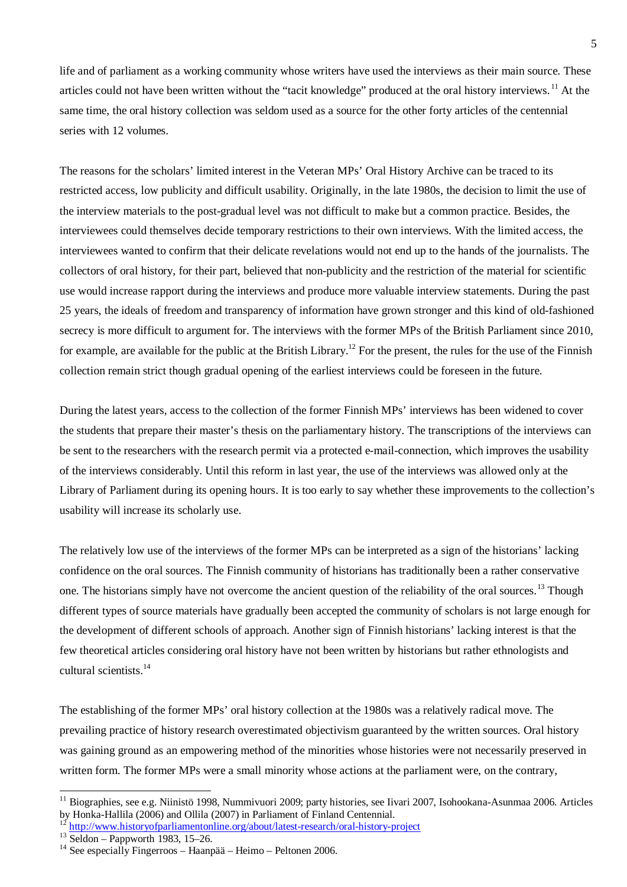life and of parliament as a working community whose writers have used the interviews as their main source. These articles could not have been written without the "tacit knowledge" produced at the oral history interviews.<sup>11</sup> At the same time, the oral history collection was seldom used as a source for the other forty articles of the centennial series with 12 volumes.

The reasons for the scholars' limited interest in the Veteran MPs' Oral History Archive can be traced to its restricted access, low publicity and difficult usability. Originally, in the late 1980s, the decision to limit the use of the interview materials to the post-gradual level was not difficult to make but a common practice. Besides, the interviewees could themselves decide temporary restrictions to their own interviews. With the limited access, the interviewees wanted to confirm that their delicate revelations would not end up to the hands of the journalists. The collectors of oral history, for their part, believed that non-publicity and the restriction of the material for scientific use would increase rapport during the interviews and produce more valuable interview statements. During the past 25 years, the ideals of freedom and transparency of information have grown stronger and this kind of old-fashioned secrecy is more difficult to argument for. The interviews with the former MPs of the British Parliament since 2010, for example, are available for the public at the British Library.<sup>12</sup> For the present, the rules for the use of the Finnish collection remain strict though gradual opening of the earliest interviews could be foreseen in the future.

During the latest years, access to the collection of the former Finnish MPs' interviews has been widened to cover the students that prepare their master's thesis on the parliamentary history. The transcriptions of the interviews can be sent to the researchers with the research permit via a protected e-mail-connection, which improves the usability of the interviews considerably. Until this reform in last year, the use of the interviews was allowed only at the Library of Parliament during its opening hours. It is too early to say whether these improvements to the collection's usability will increase its scholarly use.

The relatively low use of the interviews of the former MPs can be interpreted as a sign of the historians' lacking confidence on the oral sources. The Finnish community of historians has traditionally been a rather conservative one. The historians simply have not overcome the ancient question of the reliability of the oral sources.<sup>13</sup> Though different types of source materials have gradually been accepted the community of scholars is not large enough for the development of different schools of approach. Another sign of Finnish historians' lacking interest is that the few theoretical articles considering oral history have not been written by historians but rather ethnologists and cultural scientists.<sup>14</sup>

The establishing of the former MPs' oral history collection at the 1980s was a relatively radical move. The prevailing practice of history research overestimated objectivism guaranteed by the written sources. Oral history was gaining ground as an empowering method of the minorities whose histories were not necessarily preserved in written form. The former MPs were a small minority whose actions at the parliament were, on the contrary,

<sup>&</sup>lt;sup>11</sup> Biographies, see e.g. Niinistö 1998, Nummivuori 2009; party histories, see Iivari 2007, Isohookana-Asunmaa 2006. Articles by Honka-Hallila (2006) and Ollila (2007) in Parliament of Finland Centennial.

<sup>12</sup> http://www.historyofparliamentonline.org/about/latest-research/oral-history-project

 $13$  Seldon – Pappworth 1983, 15–26.

 $14$  See especially Fingerroos – Haanpää – Heimo – Peltonen 2006.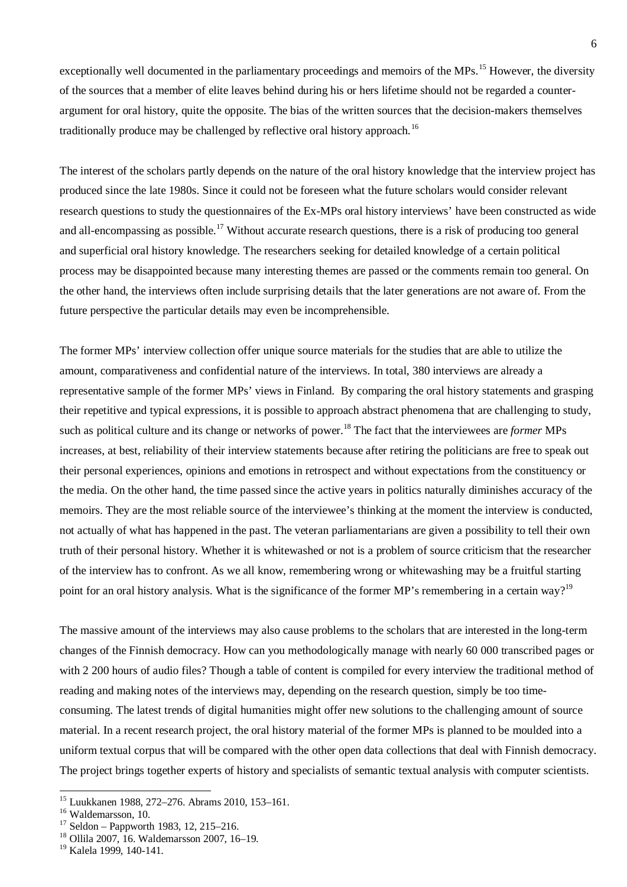exceptionally well documented in the parliamentary proceedings and memoirs of the MPs.<sup>15</sup> However, the diversity of the sources that a member of elite leaves behind during his or hers lifetime should not be regarded a counterargument for oral history, quite the opposite. The bias of the written sources that the decision-makers themselves traditionally produce may be challenged by reflective oral history approach.<sup>16</sup>

The interest of the scholars partly depends on the nature of the oral history knowledge that the interview project has produced since the late 1980s. Since it could not be foreseen what the future scholars would consider relevant research questions to study the questionnaires of the Ex-MPs oral history interviews' have been constructed as wide and all-encompassing as possible.<sup>17</sup> Without accurate research questions, there is a risk of producing too general and superficial oral history knowledge. The researchers seeking for detailed knowledge of a certain political process may be disappointed because many interesting themes are passed or the comments remain too general. On the other hand, the interviews often include surprising details that the later generations are not aware of. From the future perspective the particular details may even be incomprehensible.

The former MPs' interview collection offer unique source materials for the studies that are able to utilize the amount, comparativeness and confidential nature of the interviews. In total, 380 interviews are already a representative sample of the former MPs' views in Finland. By comparing the oral history statements and grasping their repetitive and typical expressions, it is possible to approach abstract phenomena that are challenging to study, such as political culture and its change or networks of power.<sup>18</sup> The fact that the interviewees are *former* MPs increases, at best, reliability of their interview statements because after retiring the politicians are free to speak out their personal experiences, opinions and emotions in retrospect and without expectations from the constituency or the media. On the other hand, the time passed since the active years in politics naturally diminishes accuracy of the memoirs. They are the most reliable source of the interviewee's thinking at the moment the interview is conducted, not actually of what has happened in the past. The veteran parliamentarians are given a possibility to tell their own truth of their personal history. Whether it is whitewashed or not is a problem of source criticism that the researcher of the interview has to confront. As we all know, remembering wrong or whitewashing may be a fruitful starting point for an oral history analysis. What is the significance of the former MP's remembering in a certain way?<sup>19</sup>

The massive amount of the interviews may also cause problems to the scholars that are interested in the long-term changes of the Finnish democracy. How can you methodologically manage with nearly 60 000 transcribed pages or with 2 200 hours of audio files? Though a table of content is compiled for every interview the traditional method of reading and making notes of the interviews may, depending on the research question, simply be too timeconsuming. The latest trends of digital humanities might offer new solutions to the challenging amount of source material. In a recent research project, the oral history material of the former MPs is planned to be moulded into a uniform textual corpus that will be compared with the other open data collections that deal with Finnish democracy. The project brings together experts of history and specialists of semantic textual analysis with computer scientists.

<sup>15</sup> Luukkanen 1988, 272–276. Abrams 2010, 153–161.

<sup>&</sup>lt;sup>16</sup> Waldemarsson, 10.

 $17$  Seldon – Pappworth 1983, 12, 215–216.

<sup>18</sup> Ollila 2007, 16. Waldemarsson 2007, 16–19.

<sup>&</sup>lt;sup>19</sup> Kalela 1999, 140-141.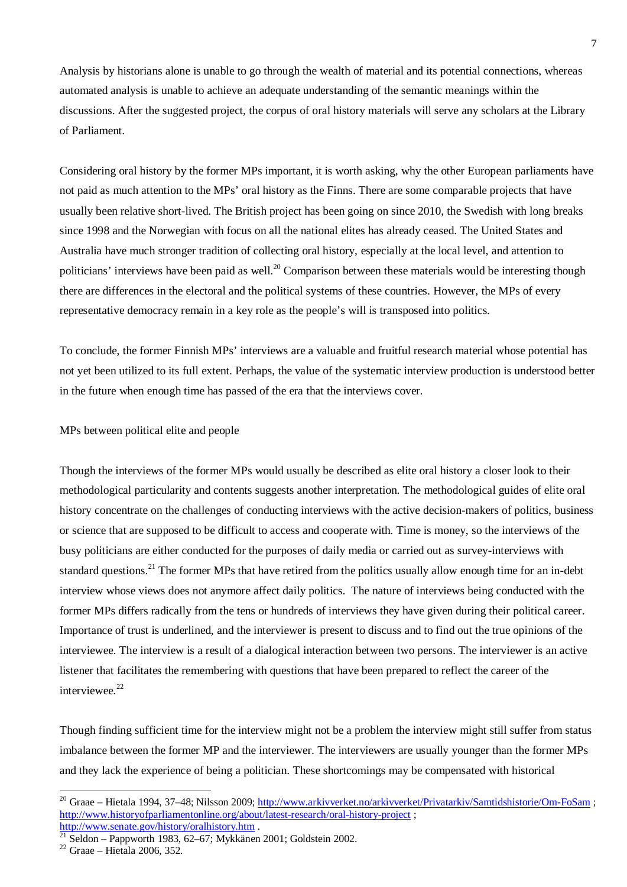Analysis by historians alone is unable to go through the wealth of material and its potential connections, whereas automated analysis is unable to achieve an adequate understanding of the semantic meanings within the discussions. After the suggested project, the corpus of oral history materials will serve any scholars at the Library of Parliament.

Considering oral history by the former MPs important, it is worth asking, why the other European parliaments have not paid as much attention to the MPs' oral history as the Finns. There are some comparable projects that have usually been relative short-lived. The British project has been going on since 2010, the Swedish with long breaks since 1998 and the Norwegian with focus on all the national elites has already ceased. The United States and Australia have much stronger tradition of collecting oral history, especially at the local level, and attention to politicians' interviews have been paid as well.<sup>20</sup> Comparison between these materials would be interesting though there are differences in the electoral and the political systems of these countries. However, the MPs of every representative democracy remain in a key role as the people's will is transposed into politics.

To conclude, the former Finnish MPs' interviews are a valuable and fruitful research material whose potential has not yet been utilized to its full extent. Perhaps, the value of the systematic interview production is understood better in the future when enough time has passed of the era that the interviews cover.

MPs between political elite and people

Though the interviews of the former MPs would usually be described as elite oral history a closer look to their methodological particularity and contents suggests another interpretation. The methodological guides of elite oral history concentrate on the challenges of conducting interviews with the active decision-makers of politics, business or science that are supposed to be difficult to access and cooperate with. Time is money, so the interviews of the busy politicians are either conducted for the purposes of daily media or carried out as survey-interviews with standard questions.<sup>21</sup> The former MPs that have retired from the politics usually allow enough time for an in-debt interview whose views does not anymore affect daily politics. The nature of interviews being conducted with the former MPs differs radically from the tens or hundreds of interviews they have given during their political career. Importance of trust is underlined, and the interviewer is present to discuss and to find out the true opinions of the interviewee. The interview is a result of a dialogical interaction between two persons. The interviewer is an active listener that facilitates the remembering with questions that have been prepared to reflect the career of the interviewee.<sup>22</sup>

Though finding sufficient time for the interview might not be a problem the interview might still suffer from status imbalance between the former MP and the interviewer. The interviewers are usually younger than the former MPs and they lack the experience of being a politician. These shortcomings may be compensated with historical

<sup>&</sup>lt;sup>20</sup> Graae – Hietala 1994, 37–48; Nilsson 2009; http://www.arkivverket.no/arkivverket/Privatarkiv/Samtidshistorie/Om-FoSam; http://www.historyofparliamentonline.org/about/latest-research/oral-history-project ; http://www.senate.gov/history/oralhistory.htm.

 $^{21}$  Seldon – Pappworth 1983, 62–67; Mykkänen 2001; Goldstein 2002.

<sup>22</sup> Graae – Hietala 2006, 352.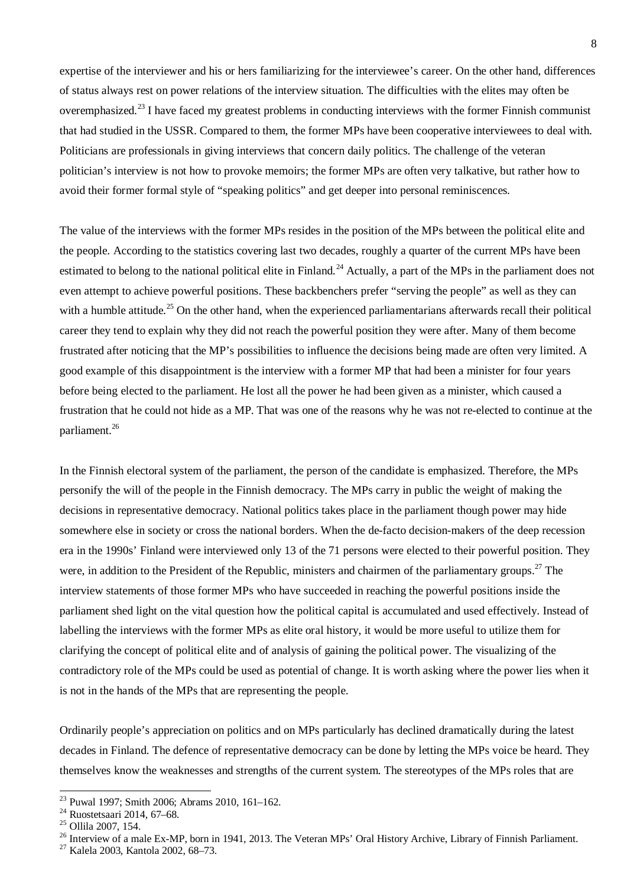expertise of the interviewer and his or hers familiarizing for the interviewee's career. On the other hand, differences of status always rest on power relations of the interview situation. The difficulties with the elites may often be overemphasized.<sup>23</sup> I have faced my greatest problems in conducting interviews with the former Finnish communist that had studied in the USSR. Compared to them, the former MPs have been cooperative interviewees to deal with. Politicians are professionals in giving interviews that concern daily politics. The challenge of the veteran politician's interview is not how to provoke memoirs; the former MPs are often very talkative, but rather how to avoid their former formal style of "speaking politics" and get deeper into personal reminiscences.

The value of the interviews with the former MPs resides in the position of the MPs between the political elite and the people. According to the statistics covering last two decades, roughly a quarter of the current MPs have been estimated to belong to the national political elite in Finland.<sup>24</sup> Actually, a part of the MPs in the parliament does not even attempt to achieve powerful positions. These backbenchers prefer "serving the people" as well as they can with a humble attitude.<sup>25</sup> On the other hand, when the experienced parliamentarians afterwards recall their political career they tend to explain why they did not reach the powerful position they were after. Many of them become frustrated after noticing that the MP's possibilities to influence the decisions being made are often very limited. A good example of this disappointment is the interview with a former MP that had been a minister for four years before being elected to the parliament. He lost all the power he had been given as a minister, which caused a frustration that he could not hide as a MP. That was one of the reasons why he was not re-elected to continue at the parliament.<sup>26</sup>

In the Finnish electoral system of the parliament, the person of the candidate is emphasized. Therefore, the MPs personify the will of the people in the Finnish democracy. The MPs carry in public the weight of making the decisions in representative democracy. National politics takes place in the parliament though power may hide somewhere else in society or cross the national borders. When the de-facto decision-makers of the deep recession era in the 1990s' Finland were interviewed only 13 of the 71 persons were elected to their powerful position. They were, in addition to the President of the Republic, ministers and chairmen of the parliamentary groups.<sup>27</sup> The interview statements of those former MPs who have succeeded in reaching the powerful positions inside the parliament shed light on the vital question how the political capital is accumulated and used effectively. Instead of labelling the interviews with the former MPs as elite oral history, it would be more useful to utilize them for clarifying the concept of political elite and of analysis of gaining the political power. The visualizing of the contradictory role of the MPs could be used as potential of change. It is worth asking where the power lies when it is not in the hands of the MPs that are representing the people.

Ordinarily people's appreciation on politics and on MPs particularly has declined dramatically during the latest decades in Finland. The defence of representative democracy can be done by letting the MPs voice be heard. They themselves know the weaknesses and strengths of the current system. The stereotypes of the MPs roles that are

<sup>23</sup> Puwal 1997; Smith 2006; Abrams 2010, 161–162.

<sup>24</sup> Ruostetsaari 2014, 67–68.

<sup>25</sup> Ollila 2007, 154.

<sup>&</sup>lt;sup>26</sup> Interview of a male Ex-MP, born in 1941, 2013. The Veteran MPs' Oral History Archive, Library of Finnish Parliament.

<sup>27</sup> Kalela 2003, Kantola 2002, 68–73.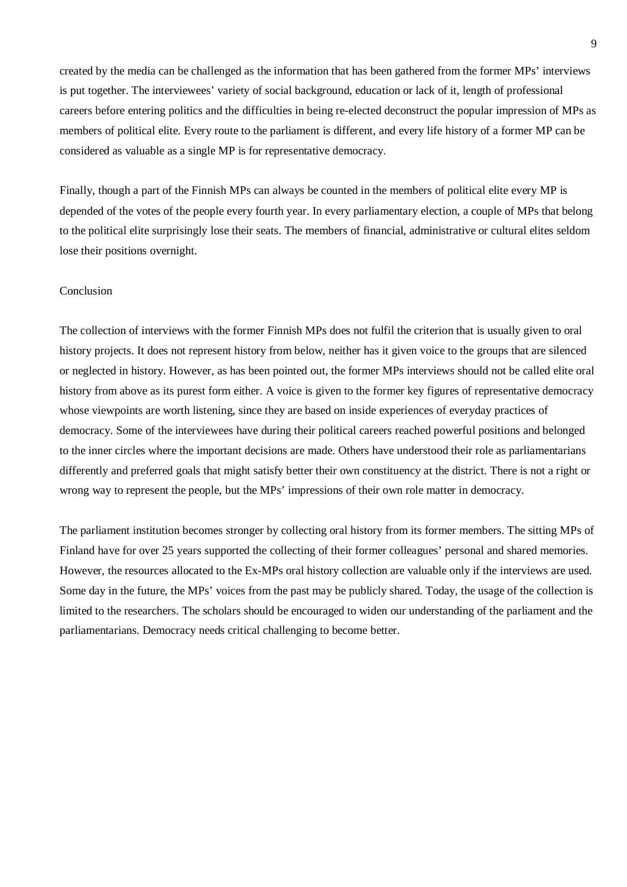created by the media can be challenged as the information that has been gathered from the former MPs' interviews is put together. The interviewees' variety of social background, education or lack of it, length of professional careers before entering politics and the difficulties in being re-elected deconstruct the popular impression of MPs as members of political elite. Every route to the parliament is different, and every life history of a former MP can be considered as valuable as a single MP is for representative democracy.

Finally, though a part of the Finnish MPs can always be counted in the members of political elite every MP is depended of the votes of the people every fourth year. In every parliamentary election, a couple of MPs that belong to the political elite surprisingly lose their seats. The members of financial, administrative or cultural elites seldom lose their positions overnight.

## Conclusion

The collection of interviews with the former Finnish MPs does not fulfil the criterion that is usually given to oral history projects. It does not represent history from below, neither has it given voice to the groups that are silenced or neglected in history. However, as has been pointed out, the former MPs interviews should not be called elite oral history from above as its purest form either. A voice is given to the former key figures of representative democracy whose viewpoints are worth listening, since they are based on inside experiences of everyday practices of democracy. Some of the interviewees have during their political careers reached powerful positions and belonged to the inner circles where the important decisions are made. Others have understood their role as parliamentarians differently and preferred goals that might satisfy better their own constituency at the district. There is not a right or wrong way to represent the people, but the MPs' impressions of their own role matter in democracy.

The parliament institution becomes stronger by collecting oral history from its former members. The sitting MPs of Finland have for over 25 years supported the collecting of their former colleagues' personal and shared memories. However, the resources allocated to the Ex-MPs oral history collection are valuable only if the interviews are used. Some day in the future, the MPs' voices from the past may be publicly shared. Today, the usage of the collection is limited to the researchers. The scholars should be encouraged to widen our understanding of the parliament and the parliamentarians. Democracy needs critical challenging to become better.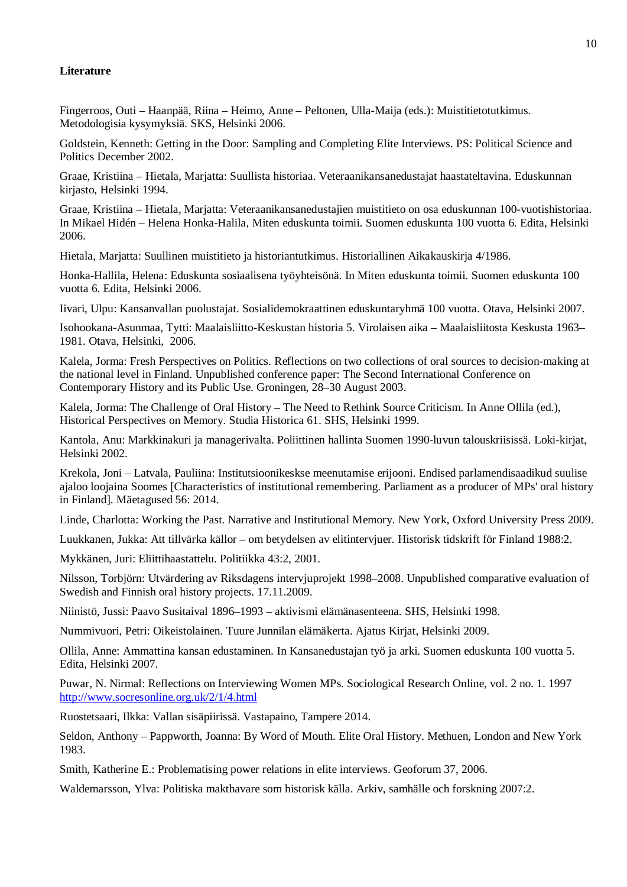## **Literature**

Fingerroos, Outi – Haanpää, Riina – Heimo, Anne – Peltonen, Ulla-Maija (eds.): Muistitietotutkimus. Metodologisia kysymyksiä. SKS, Helsinki 2006.

Goldstein, Kenneth: Getting in the Door: Sampling and Completing Elite Interviews. PS: Political Science and Politics December 2002.

Graae, Kristiina – Hietala, Marjatta: Suullista historiaa. Veteraanikansanedustajat haastateltavina. Eduskunnan kirjasto, Helsinki 1994.

Graae, Kristiina – Hietala, Marjatta: Veteraanikansanedustajien muistitieto on osa eduskunnan 100-vuotishistoriaa. In Mikael Hidén – Helena Honka-Halila, Miten eduskunta toimii. Suomen eduskunta 100 vuotta 6. Edita, Helsinki 2006.

Hietala, Marjatta: Suullinen muistitieto ja historiantutkimus. Historiallinen Aikakauskirja 4/1986.

Honka-Hallila, Helena: Eduskunta sosiaalisena työyhteisönä. In Miten eduskunta toimii. Suomen eduskunta 100 vuotta 6. Edita, Helsinki 2006.

Iivari, Ulpu: Kansanvallan puolustajat. Sosialidemokraattinen eduskuntaryhmä 100 vuotta. Otava, Helsinki 2007.

Isohookana-Asunmaa, Tytti: Maalaisliitto-Keskustan historia 5. Virolaisen aika – Maalaisliitosta Keskusta 1963– 1981. Otava, Helsinki, 2006.

Kalela, Jorma: Fresh Perspectives on Politics. Reflections on two collections of oral sources to decision-making at the national level in Finland. Unpublished conference paper: The Second International Conference on Contemporary History and its Public Use. Groningen, 28–30 August 2003.

Kalela, Jorma: The Challenge of Oral History – The Need to Rethink Source Criticism. In Anne Ollila (ed.), Historical Perspectives on Memory. Studia Historica 61. SHS, Helsinki 1999.

Kantola, Anu: Markkinakuri ja managerivalta. Poliittinen hallinta Suomen 1990-luvun talouskriisissä. Loki-kirjat, Helsinki 2002.

Krekola, Joni – Latvala, Pauliina: Institutsioonikeskse meenutamise erijooni. Endised parlamendisaadikud suulise ajaloo loojaina Soomes [Characteristics of institutional remembering. Parliament as a producer of MPs' oral history in Finland]. Mäetagused 56: 2014.

Linde, Charlotta: Working the Past. Narrative and Institutional Memory. New York, Oxford University Press 2009.

Luukkanen, Jukka: Att tillvärka källor – om betydelsen av elitintervjuer. Historisk tidskrift för Finland 1988:2.

Mykkänen, Juri: Eliittihaastattelu. Politiikka 43:2, 2001.

Nilsson, Torbjörn: Utvärdering av Riksdagens intervjuprojekt 1998–2008. Unpublished comparative evaluation of Swedish and Finnish oral history projects. 17.11.2009.

Niinistö, Jussi: Paavo Susitaival 1896–1993 – aktivismi elämänasenteena. SHS, Helsinki 1998.

Nummivuori, Petri: Oikeistolainen. Tuure Junnilan elämäkerta. Ajatus Kirjat, Helsinki 2009.

Ollila, Anne: Ammattina kansan edustaminen. In Kansanedustajan työ ja arki. Suomen eduskunta 100 vuotta 5. Edita, Helsinki 2007.

Puwar, N. Nirmal: Reflections on Interviewing Women MPs. Sociological Research Online, vol. 2 no. 1. 1997 http://www.socresonline.org.uk/2/1/4.html

Ruostetsaari, Ilkka: Vallan sisäpiirissä. Vastapaino, Tampere 2014.

Seldon, Anthony – Pappworth, Joanna: By Word of Mouth. Elite Oral History. Methuen, London and New York 1983.

Smith, Katherine E.: Problematising power relations in elite interviews. Geoforum 37, 2006.

Waldemarsson, Ylva: Politiska makthavare som historisk källa. Arkiv, samhälle och forskning 2007:2.